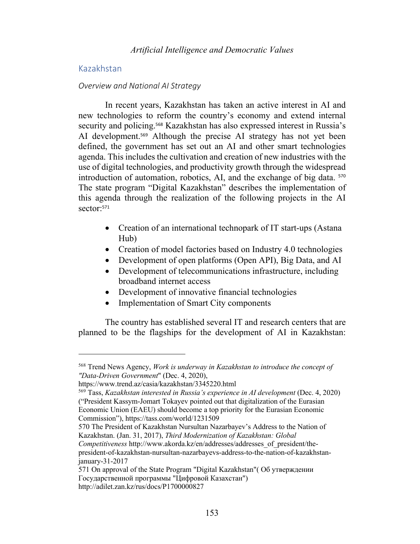# Kazakhstan

### *Overview and National AI Strategy*

In recent years, Kazakhstan has taken an active interest in AI and new technologies to reform the country's economy and extend internal security and policing.<sup>568</sup> Kazakhstan has also expressed interest in Russia's AI development.<sup>569</sup> Although the precise AI strategy has not yet been defined, the government has set out an AI and other smart technologies agenda. This includes the cultivation and creation of new industries with the use of digital technologies, and productivity growth through the widespread introduction of automation, robotics, AI, and the exchange of big data. <sup>570</sup> The state program "Digital Kazakhstan" describes the implementation of this agenda through the realization of the following projects in the AI sector: 571

- Creation of an international technopark of IT start-ups (Astana Hub)
- Creation of model factories based on Industry 4.0 technologies
- Development of open platforms (Open API), Big Data, and AI
- Development of telecommunications infrastructure, including broadband internet access
- Development of innovative financial technologies
- Implementation of Smart City components

The country has established several IT and research centers that are planned to be the flagships for the development of AI in Kazakhstan:

570 The President of Kazakhstan Nursultan Nazarbayev's Address to the Nation of Kazakhstan. (Jan. 31, 2017), *Third Modernization of Kazakhstan: Global* 

*Competitiveness http://www.akorda.kz/en/addresses/addresses\_of\_president/the*president-of-kazakhstan-nursultan-nazarbayevs-address-to-the-nation-of-kazakhstanjanuary-31-2017

571 On approval of the State Program "Digital Kazakhstan"( Об утверждении Государственной программы "Цифровой Казахстан") http://adilet.zan.kz/rus/docs/P1700000827

<sup>568</sup> Trend News Agency, *Work is underway in Kazakhstan to introduce the concept of "Data-Driven Government*" (Dec. 4, 2020),

https://www.trend.az/casia/kazakhstan/3345220.html

<sup>569</sup> Tass, *Kazakhstan interested in Russia's experience in AI development* (Dec. 4, 2020) ("President Kassym-Jomart Tokayev pointed out that digitalization of the Eurasian Economic Union (EAEU) should become a top priority for the Eurasian Economic Commission"), https://tass.com/world/1231509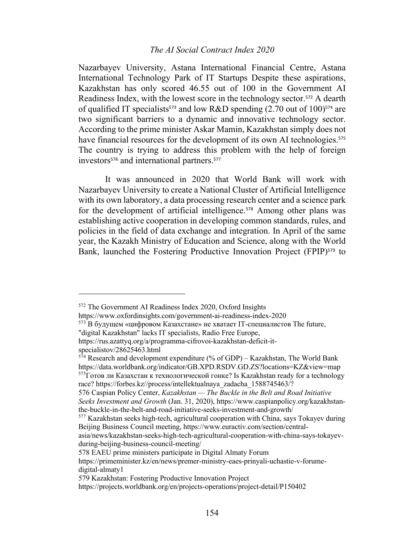### *The AI Social Contract Index 2020*

Nazarbayev University, Astana International Financial Centre, Astana International Technology Park of IT Startups Despite these aspirations, Kazakhstan has only scored 46.55 out of 100 in the Government AI Readiness Index, with the lowest score in the technology sector.<sup>572</sup> A dearth of qualified IT specialists<sup>573</sup> and low R&D spending  $(2.70 \text{ out of } 100)^{574}$  are two significant barriers to a dynamic and innovative technology sector. According to the prime minister Askar Mamin, Kazakhstan simply does not have financial resources for the development of its own AI technologies.<sup>575</sup> The country is trying to address this problem with the help of foreign investors<sup>576</sup> and international partners.<sup>577</sup>

It was announced in 2020 that World Bank will work with Nazarbayev University to create a National Cluster of Artificial Intelligence with its own laboratory, a data processing research center and a science park for the development of artificial intelligence.<sup>578</sup> Among other plans was establishing active cooperation in developing common standards, rules, and policies in the field of data exchange and integration. In April of the same year, the Kazakh Ministry of Education and Science, along with the World Bank, launched the Fostering Productive Innovation Project (FPIP)<sup>579</sup> to

<sup>572</sup> The Government AI Readiness Index 2020, Oxford Insights

https://www.oxfordinsights.com/government-ai-readiness-index-2020

 $573$  В будущем «цифровом Казахстане» не хватает IT-специалистов The future,

<sup>&</sup>quot;digital Kazakhstan" lacks IT specialists, Radio Free Europe,

https://rus.azattyq.org/a/programma-cifrovoi-kazakhstan-deficit-itspecialistov/28625463.html

 $5^{74}$  Research and development expenditure (% of GDP) – Kazakhstan, The World Bank https://data.worldbank.org/indicator/GB.XPD.RSDV.GD.ZS?locations=KZ&view=map  $575$ Готов ли Казахстан к технологической гонке? Is Kazakhstan ready for a technology race? https://forbes.kz//process/intellektualnaya\_zadacha\_1588745463/?

<sup>576</sup> Caspian Policy Center, *Kazakhstan — The Buckle in the Belt and Road Initiative Seeks Investment and Growth* (Jan. 31, 2020), https://www.caspianpolicy.org/kazakhstanthe-buckle-in-the-belt-and-road-initiative-seeks-investment-and-growth/

<sup>577</sup> Kazakhstan seeks high-tech, agricultural cooperation with China, says Tokayev during Beijing Business Council meeting, https://www.euractiv.com/section/central-

asia/news/kazakhstan-seeks-high-tech-agricultural-cooperation-with-china-says-tokayevduring-beijing-business-council-meeting/

<sup>578</sup> EAEU prime ministers participate in Digital Almaty Forum

https://primeminister.kz/en/news/premer-ministry-eaes-prinyali-uchastie-v-forumedigital-almaty1

<sup>579</sup> Kazakhstan: Fostering Productive Innovation Project

https://projects.worldbank.org/en/projects-operations/project-detail/P150402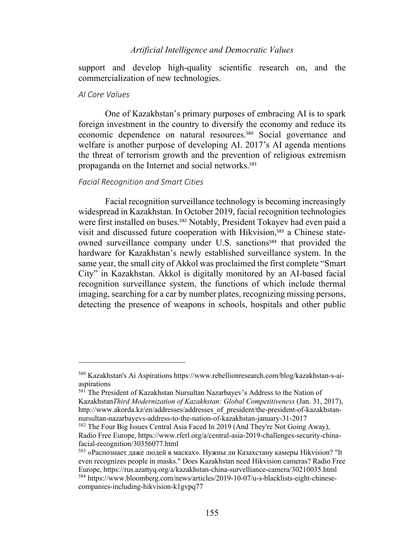support and develop high-quality scientific research on, and the commercialization of new technologies.

### *AI Core Values*

One of Kazakhstan's primary purposes of embracing AI is to spark foreign investment in the country to diversify the economy and reduce its economic dependence on natural resources.<sup>580</sup> Social governance and welfare is another purpose of developing AI. 2017's AI agenda mentions the threat of terrorism growth and the prevention of religious extremism propaganda on the Internet and social networks.<sup>581</sup>

### *Facial Recognition and Smart Cities*

Facial recognition surveillance technology is becoming increasingly widespread in Kazakhstan. In October 2019, facial recognition technologies were first installed on buses.<sup>582</sup> Notably, President Tokayev had even paid a visit and discussed future cooperation with Hikvision,<sup>583</sup> a Chinese stateowned surveillance company under U.S. sanctions<sup>584</sup> that provided the hardware for Kazakhstan's newly established surveillance system. In the same year, the small city of Akkol was proclaimed the first complete "Smart City" in Kazakhstan. Akkol is digitally monitored by an AI-based facial recognition surveillance system, the functions of which include thermal imaging, searching for a car by number plates, recognizing missing persons, detecting the presence of weapons in schools, hospitals and other public

<sup>580</sup> Kazakhstan's Ai Aspirations https://www.rebellionresearch.com/blog/kazakhstan-s-aiaspirations

<sup>581</sup> The President of Kazakhstan Nursultan Nazarbayev's Address to the Nation of Kazakhstan*Third Modernization of Kazakhstan: Global Competitiveness* (Jan. 31, 2017), http://www.akorda.kz/en/addresses/addresses\_of\_president/the-president-of-kazakhstannursultan-nazarbayevs-address-to-the-nation-of-kazakhstan-january-31-2017

<sup>582</sup> The Four Big Issues Central Asia Faced In 2019 (And They're Not Going Away), Radio Free Europe, https://www.rferl.org/a/central-asia-2019-challenges-security-chinafacial-recognition/30356077.html

<sup>583</sup> «Распознает даже людей в масках». Нужны ли Казахстану камеры Hikvision? "It even recognizes people in masks." Does Kazakhstan need Hikvision cameras? Radio Free Europe, https://rus.azattyq.org/a/kazakhstan-china-survelliance-camera/30210035.html <sup>584</sup> https://www.bloomberg.com/news/articles/2019-10-07/u-s-blacklists-eight-chinesecompanies-including-hikvision-k1gvpq77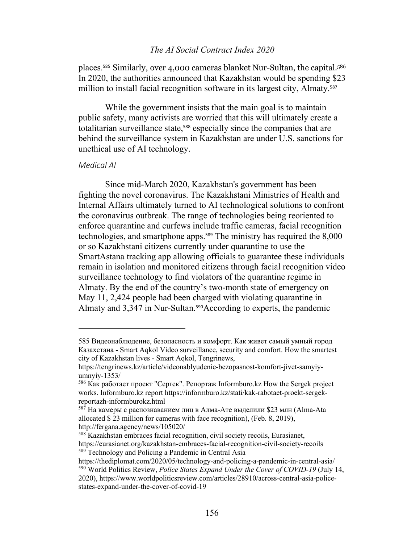# *The AI Social Contract Index 2020*

places. <sup>585</sup> Similarly, over 4,000 cameras blanket Nur-Sultan, the capital.586 In 2020, the authorities announced that Kazakhstan would be spending \$23 million to install facial recognition software in its largest city, Almaty.<sup>587</sup>

While the government insists that the main goal is to maintain public safety, many activists are worried that this will ultimately create a totalitarian surveillance state, <sup>588</sup> especially since the companies that are behind the surveillance system in Kazakhstan are under U.S. sanctions for unethical use of AI technology.

#### *Medical AI*

Since mid-March 2020, Kazakhstan's government has been fighting the novel coronavirus. The Kazakhstani Ministries of Health and Internal Affairs ultimately turned to AI technological solutions to confront the coronavirus outbreak. The range of technologies being reoriented to enforce quarantine and curfews include traffic cameras, facial recognition technologies, and smartphone apps.<sup>589</sup> The ministry has required the 8,000 or so Kazakhstani citizens currently under quarantine to use the SmartAstana tracking app allowing officials to guarantee these individuals remain in isolation and monitored citizens through facial recognition video surveillance technology to find violators of the quarantine regime in Almaty. By the end of the country's two-month state of emergency on May 11, 2,424 people had been charged with violating quarantine in Almaty and 3,347 in Nur-Sultan.<sup>590</sup>According to experts, the pandemic

<sup>585</sup> Видеонаблюдение, безопасность и комфорт. Как живет самый умный город Казахстана - Smart Aqkol Video surveillance, security and comfort. How the smartest city of Kazakhstan lives - Smart Aqkol, Tengrinews,

https://tengrinews.kz/article/videonablyudenie-bezopasnost-komfort-jivet-samyiyumnyiy-1353/

<sup>586</sup> Как работает проект "Сергек". Репортаж Informburo.kz How the Sergek project works. Informburo.kz report https://informburo.kz/stati/kak-rabotaet-proekt-sergekreportazh-informburokz.html

 $^{587}$  На камеры с распознаванием лиц в Алма-Ате выделили \$23 млн (Alma-Ata allocated \$ 23 million for cameras with face recognition), (Feb. 8, 2019), http://fergana.agency/news/105020/

<sup>588</sup> Kazakhstan embraces facial recognition, civil society recoils, Eurasianet, https://eurasianet.org/kazakhstan-embraces-facial-recognition-civil-society-recoils <sup>589</sup> Technology and Policing a Pandemic in Central Asia

https://thediplomat.com/2020/05/technology-and-policing-a-pandemic-in-central-asia/ <sup>590</sup> World Politics Review, *Police States Expand Under the Cover of COVID-19* (July 14,

<sup>2020),</sup> https://www.worldpoliticsreview.com/articles/28910/across-central-asia-policestates-expand-under-the-cover-of-covid-19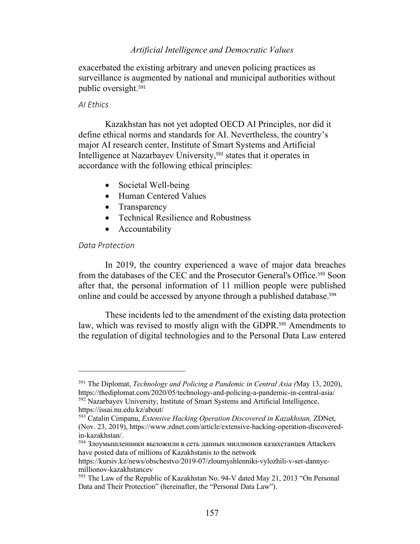exacerbated the existing arbitrary and uneven policing practices as surveillance is augmented by national and municipal authorities without public oversight. 591

#### *AI Ethics*

Kazakhstan has not yet adopted OECD AI Principles, nor did it define ethical norms and standards for AI. Nevertheless, the country's major AI research center, Institute of Smart Systems and Artificial Intelligence at Nazarbayev University, <sup>592</sup> states that it operates in accordance with the following ethical principles:

- Societal Well-being
- Human Centered Values
- Transparency
- Technical Resilience and Robustness
- Accountability

# *Data Protection*

In 2019, the country experienced a wave of major data breaches from the databases of the CEC and the Prosecutor General's Office.<sup>593</sup> Soon after that, the personal information of 11 million people were published online and could be accessed by anyone through a published database.<sup>594</sup>

These incidents led to the amendment of the existing data protection law, which was revised to mostly align with the GDPR.<sup>595</sup> Amendments to the regulation of digital technologies and to the Personal Data Law entered

<sup>591</sup> The Diplomat, *Technology and Policing a Pandemic in Central Asia (*May 13, 2020), https://thediplomat.com/2020/05/technology-and-policing-a-pandemic-in-central-asia/ <sup>592</sup> Nazarbayev University, Institute of Smart Systems and Artificial Intelligence, https://issai.nu.edu.kz/about/

<sup>593</sup> Catalin Cimpanu, *Extensive Hacking Operation Discovered in Kazakhstan,* ZDNet, (Nov. 23, 2019), https://www.zdnet.com/article/extensive-hacking-operation-discoveredin-kazakhstan/.

<sup>594</sup> Злоумышленники выложили в сеть данных миллионов казахстанцев Attackers have posted data of millions of Kazakhstanis to the network

https://kursiv.kz/news/obschestvo/2019-07/zloumyshlenniki-vylozhili-v-set-dannyemillionov-kazakhstancev

<sup>595</sup> The Law of the Republic of Kazakhstan No. 94-V dated May 21, 2013 "On Personal Data and Their Protection" (hereinafter, the "Personal Data Law").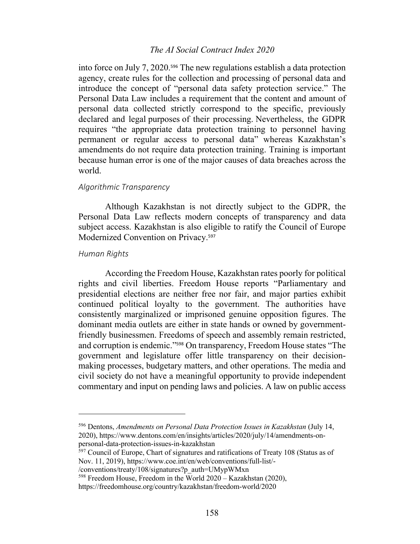### *The AI Social Contract Index 2020*

into force on July 7, 2020. <sup>596</sup> The new regulations establish a data protection agency, create rules for the collection and processing of personal data and introduce the concept of "personal data safety protection service." The Personal Data Law includes a requirement that the content and amount of personal data collected strictly correspond to the specific, previously declared and legal purposes of their processing. Nevertheless, the GDPR requires "the appropriate data protection training to personnel having permanent or regular access to personal data" whereas Kazakhstan's amendments do not require data protection training. Training is important because human error is one of the major causes of data breaches across the world.

#### *Algorithmic Transparency*

Although Kazakhstan is not directly subject to the GDPR, the Personal Data Law reflects modern concepts of transparency and data subject access. Kazakhstan is also eligible to ratify the Council of Europe Modernized Convention on Privacy.<sup>597</sup>

### *Human Rights*

According the Freedom House, Kazakhstan rates poorly for political rights and civil liberties. Freedom House reports "Parliamentary and presidential elections are neither free nor fair, and major parties exhibit continued political loyalty to the government. The authorities have consistently marginalized or imprisoned genuine opposition figures. The dominant media outlets are either in state hands or owned by governmentfriendly businessmen. Freedoms of speech and assembly remain restricted, and corruption is endemic."<sup>598</sup> On transparency, Freedom House states "The government and legislature offer little transparency on their decisionmaking processes, budgetary matters, and other operations. The media and civil society do not have a meaningful opportunity to provide independent commentary and input on pending laws and policies. A law on public access

<sup>596</sup> Dentons, *Amendments on Personal Data Protection Issues in Kazakhstan* (July 14, 2020), https://www.dentons.com/en/insights/articles/2020/july/14/amendments-onpersonal-data-protection-issues-in-kazakhstan

<sup>&</sup>lt;sup>597</sup> Council of Europe, Chart of signatures and ratifications of Treaty 108 (Status as of Nov. 11, 2019), https://www.coe.int/en/web/conventions/full-list/-

<sup>/</sup>conventions/treaty/108/signatures?p\_auth=UMypWMxn

<sup>598</sup> Freedom House, Freedom in the World 2020 – Kazakhstan (2020),

https://freedomhouse.org/country/kazakhstan/freedom-world/2020